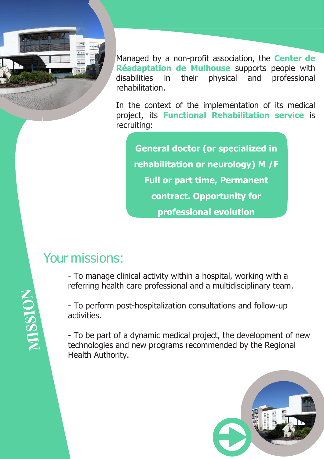

Managed by a non-profit association, the **Center de Réadaptation de Mulhouse** supports people with disabilities in their physical and professional rehabilitation.

In the context of the implementation of its medical project, its **Functional Rehabilitation service** is recruiting:

**General doctor (or specialized in rehabilitation or neurology) M /F Full or part time, Permanent contract. Opportunity for professional evolution**

## Your missions:

- To manage clinical activity within a hospital, working with a referring health care professional and a multidisciplinary team.

- To perform post-hospitalization consultations and follow-up activities.

- To be part of a dynamic medical project, the development of new technologies and new programs recommended by the Regional Health Authority.



MISSION